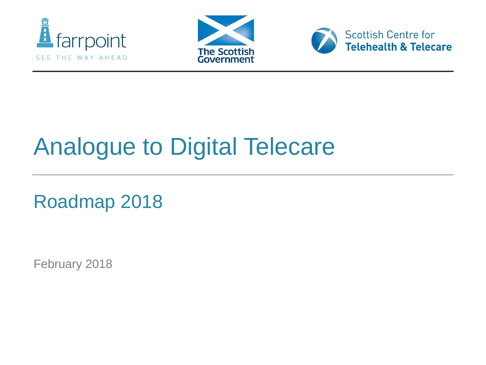





#### Analogue to Digital Telecare

Roadmap 2018

February 2018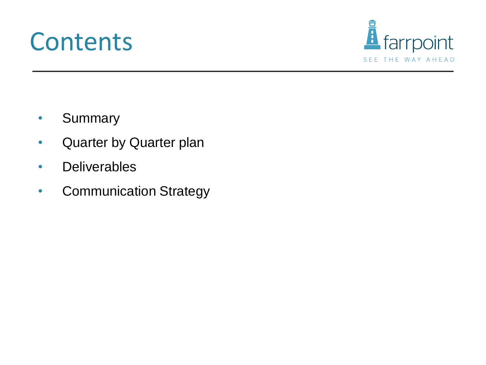#### **Contents**



- Summary
- Quarter by Quarter plan
- Deliverables
- Communication Strategy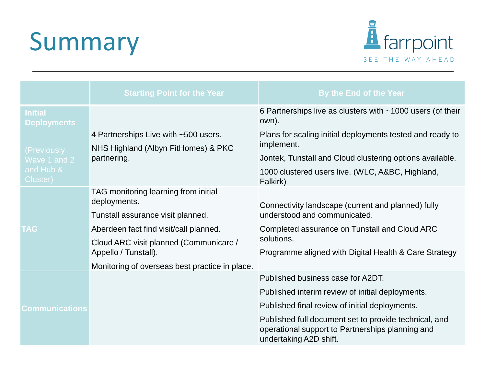## Summary



|                                                      | <b>Starting Point for the Year</b>                                                         | By the End of the Year                                                                                                              |  |  |
|------------------------------------------------------|--------------------------------------------------------------------------------------------|-------------------------------------------------------------------------------------------------------------------------------------|--|--|
| <b>Initial</b><br><b>Deployments</b>                 |                                                                                            | 6 Partnerships live as clusters with ~1000 users (of their<br>own).                                                                 |  |  |
| (Previously<br>Wave 1 and 2<br>and Hub &<br>Cluster) | 4 Partnerships Live with ~500 users.<br>NHS Highland (Albyn FitHomes) & PKC<br>partnering. | Plans for scaling initial deployments tested and ready to<br>implement.                                                             |  |  |
|                                                      |                                                                                            | Jontek, Tunstall and Cloud clustering options available.                                                                            |  |  |
|                                                      |                                                                                            | 1000 clustered users live. (WLC, A&BC, Highland,<br>Falkirk)                                                                        |  |  |
| <b>TAG</b>                                           | TAG monitoring learning from initial<br>deployments.                                       | Connectivity landscape (current and planned) fully                                                                                  |  |  |
|                                                      | Tunstall assurance visit planned.                                                          | understood and communicated.                                                                                                        |  |  |
|                                                      | Aberdeen fact find visit/call planned.                                                     | Completed assurance on Tunstall and Cloud ARC                                                                                       |  |  |
|                                                      | Cloud ARC visit planned (Communicare /<br>Appello / Tunstall).                             | solutions.                                                                                                                          |  |  |
|                                                      |                                                                                            | Programme aligned with Digital Health & Care Strategy                                                                               |  |  |
|                                                      | Monitoring of overseas best practice in place.                                             |                                                                                                                                     |  |  |
| <b>Communications</b>                                |                                                                                            | Published business case for A2DT.                                                                                                   |  |  |
|                                                      |                                                                                            | Published interim review of initial deployments.                                                                                    |  |  |
|                                                      |                                                                                            | Published final review of initial deployments.                                                                                      |  |  |
|                                                      |                                                                                            | Published full document set to provide technical, and<br>operational support to Partnerships planning and<br>undertaking A2D shift. |  |  |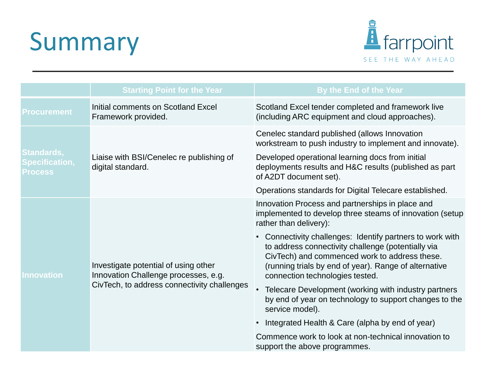## Summary



|                                                              | <b>Starting Point for the Year</b>                                                                                          | By the End of the Year                                                                                                                                                                                                                                       |  |
|--------------------------------------------------------------|-----------------------------------------------------------------------------------------------------------------------------|--------------------------------------------------------------------------------------------------------------------------------------------------------------------------------------------------------------------------------------------------------------|--|
| <b>Procurement</b>                                           | Initial comments on Scotland Excel<br>Framework provided.                                                                   | Scotland Excel tender completed and framework live<br>(including ARC equipment and cloud approaches).                                                                                                                                                        |  |
| <b>Standards,</b><br><b>Specification,</b><br><b>Process</b> |                                                                                                                             | Cenelec standard published (allows Innovation<br>workstream to push industry to implement and innovate).                                                                                                                                                     |  |
|                                                              | Liaise with BSI/Cenelec re publishing of<br>digital standard.                                                               | Developed operational learning docs from initial<br>deployments results and H&C results (published as part<br>of A2DT document set).                                                                                                                         |  |
|                                                              |                                                                                                                             | Operations standards for Digital Telecare established.                                                                                                                                                                                                       |  |
| <u>Innovation</u>                                            | Investigate potential of using other<br>Innovation Challenge processes, e.g.<br>CivTech, to address connectivity challenges | Innovation Process and partnerships in place and<br>implemented to develop three steams of innovation (setup<br>rather than delivery):                                                                                                                       |  |
|                                                              |                                                                                                                             | • Connectivity challenges: Identify partners to work with<br>to address connectivity challenge (potentially via<br>CivTech) and commenced work to address these.<br>(running trials by end of year). Range of alternative<br>connection technologies tested. |  |
|                                                              |                                                                                                                             | Telecare Development (working with industry partners<br>by end of year on technology to support changes to the<br>service model).                                                                                                                            |  |
|                                                              |                                                                                                                             | Integrated Health & Care (alpha by end of year)                                                                                                                                                                                                              |  |
|                                                              |                                                                                                                             | Commence work to look at non-technical innovation to<br>support the above programmes.                                                                                                                                                                        |  |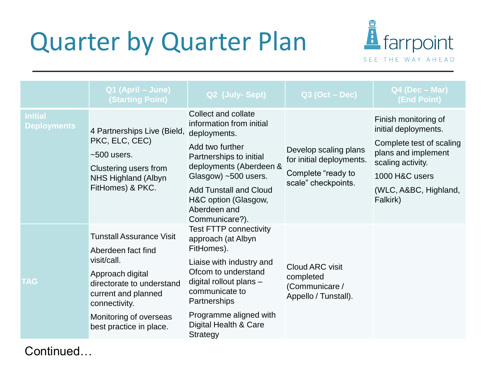### Quarter by Quarter Plan



|                                      | Q1 (April - June)<br><b>(Starting Point)</b>                                                                                                                                                                       | Q2 (July-Sept)                                                                                                                                                                                                                                              | $Q3$ (Oct – Dec)                                                                               | $Q4$ (Dec – Mar)<br>(End Point)                                                                                                                                             |
|--------------------------------------|--------------------------------------------------------------------------------------------------------------------------------------------------------------------------------------------------------------------|-------------------------------------------------------------------------------------------------------------------------------------------------------------------------------------------------------------------------------------------------------------|------------------------------------------------------------------------------------------------|-----------------------------------------------------------------------------------------------------------------------------------------------------------------------------|
| <b>Initial</b><br><b>Deployments</b> | 4 Partnerships Live (Bield,<br>PKC, ELC, CEC)<br>$~500$ users.<br>Clustering users from<br>NHS Highland (Albyn<br>FitHomes) & PKC.                                                                                 | Collect and collate<br>information from initial<br>deployments.<br>Add two further<br>Partnerships to initial<br>deployments (Aberdeen &<br>Glasgow) ~500 users.<br><b>Add Tunstall and Cloud</b><br>H&C option (Glasgow,<br>Aberdeen and<br>Communicare?). | Develop scaling plans<br>for initial deployments.<br>Complete "ready to<br>scale" checkpoints. | Finish monitoring of<br>initial deployments.<br>Complete test of scaling<br>plans and implement<br>scaling activity.<br>1000 H&C users<br>(WLC, A&BC, Highland,<br>Falkirk) |
| <b>TAG</b>                           | <b>Tunstall Assurance Visit</b><br>Aberdeen fact find<br>visit/call.<br>Approach digital<br>directorate to understand<br>current and planned<br>connectivity.<br>Monitoring of overseas<br>best practice in place. | <b>Test FTTP connectivity</b><br>approach (at Albyn<br>FitHomes).<br>Liaise with industry and<br>Ofcom to understand<br>digital rollout plans -<br>communicate to<br>Partnerships<br>Programme aligned with<br>Digital Health & Care<br><b>Strategy</b>     | Cloud ARC visit<br>completed<br>(Communicare /<br>Appello / Tunstall).                         |                                                                                                                                                                             |

Continued…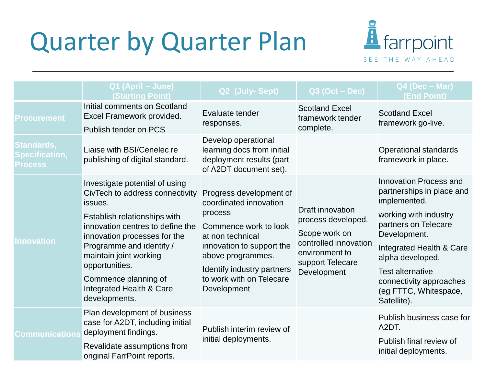### Quarter by Quarter Plan



|                                                              | Q1 (April - June)<br><b>(Starting Point)</b>                                                                                                                                                                                                                                                                                  | Q2 (July-Sept)                                                                                                                                                                                                                       | $Q3$ (Oct – Dec)                                                                                                                      | Q4 (Dec - Mar)<br>(End Point)                                                                                                                                                                                                                                                             |
|--------------------------------------------------------------|-------------------------------------------------------------------------------------------------------------------------------------------------------------------------------------------------------------------------------------------------------------------------------------------------------------------------------|--------------------------------------------------------------------------------------------------------------------------------------------------------------------------------------------------------------------------------------|---------------------------------------------------------------------------------------------------------------------------------------|-------------------------------------------------------------------------------------------------------------------------------------------------------------------------------------------------------------------------------------------------------------------------------------------|
| <b>Procurement</b>                                           | Initial comments on Scotland<br>Excel Framework provided.<br>Publish tender on PCS                                                                                                                                                                                                                                            | Evaluate tender<br>responses.                                                                                                                                                                                                        | <b>Scotland Excel</b><br>framework tender<br>complete.                                                                                | <b>Scotland Excel</b><br>framework go-live.                                                                                                                                                                                                                                               |
| <b>Standards,</b><br><b>Specification,</b><br><b>Process</b> | Liaise with BSI/Cenelec re<br>publishing of digital standard.                                                                                                                                                                                                                                                                 | Develop operational<br>learning docs from initial<br>deployment results (part<br>of A2DT document set).                                                                                                                              |                                                                                                                                       | Operational standards<br>framework in place.                                                                                                                                                                                                                                              |
| <b>Innovation</b>                                            | Investigate potential of using<br>CivTech to address connectivity<br>issues.<br>Establish relationships with<br>innovation centres to define the<br>innovation processes for the<br>Programme and identify /<br>maintain joint working<br>opportunities.<br>Commence planning of<br>Integrated Health & Care<br>developments. | Progress development of<br>coordinated innovation<br>process<br>Commence work to look<br>at non technical<br>innovation to support the<br>above programmes.<br>Identify industry partners<br>to work with on Telecare<br>Development | Draft innovation<br>process developed.<br>Scope work on<br>controlled innovation<br>environment to<br>support Telecare<br>Development | <b>Innovation Process and</b><br>partnerships in place and<br>implemented.<br>working with industry<br>partners on Telecare<br>Development.<br>Integrated Health & Care<br>alpha developed.<br><b>Test alternative</b><br>connectivity approaches<br>(eg FTTC, Whitespace,<br>Satellite). |
| <b>Communications</b>                                        | Plan development of business<br>case for A2DT, including initial<br>deployment findings.<br>Revalidate assumptions from<br>original FarrPoint reports.                                                                                                                                                                        | Publish interim review of<br>initial deployments.                                                                                                                                                                                    |                                                                                                                                       | Publish business case for<br>A <sub>2</sub> DT.<br>Publish final review of<br>initial deployments.                                                                                                                                                                                        |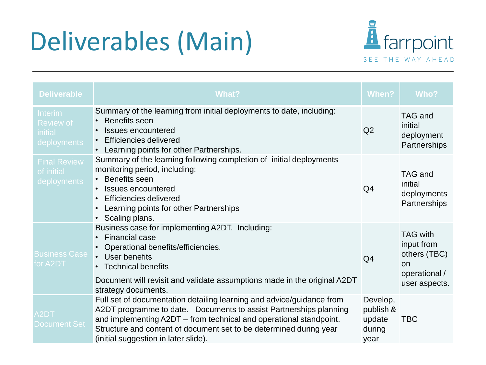# Deliverables (Main)



| <b>Deliverable</b>                                           | What?                                                                                                                                                                                                                                                                                                                          | When?                                             | Who?                                                                                         |
|--------------------------------------------------------------|--------------------------------------------------------------------------------------------------------------------------------------------------------------------------------------------------------------------------------------------------------------------------------------------------------------------------------|---------------------------------------------------|----------------------------------------------------------------------------------------------|
| Interim<br><b>Review of</b><br><i>initial</i><br>deployments | Summary of the learning from initial deployments to date, including:<br>Benefits seen<br>Q2<br><b>Issues encountered</b><br><b>Efficiencies delivered</b><br>Learning points for other Partnerships.<br>$\bullet$                                                                                                              |                                                   | <b>TAG and</b><br>initial<br>deployment<br>Partnerships                                      |
| <b>Final Review</b><br>of initial<br>deployments             | Summary of the learning following completion of initial deployments<br>monitoring period, including:<br>• Benefits seen<br>Issues encountered<br><b>Efficiencies delivered</b><br>Learning points for other Partnerships<br>Scaling plans.                                                                                     | Q <sub>4</sub>                                    | <b>TAG and</b><br>initial<br>deployments<br>Partnerships                                     |
| <b>Business Case</b><br>for A2DT                             | Business case for implementing A2DT. Including:<br><b>Financial case</b><br>$\bullet$<br>• Operational benefits/efficiencies.<br>User benefits<br><b>Technical benefits</b><br>Document will revisit and validate assumptions made in the original A2DT<br>strategy documents.                                                 | Q4                                                | <b>TAG with</b><br>input from<br>others (TBC)<br><b>on</b><br>operational /<br>user aspects. |
| A <sub>2</sub> DT<br><b>Document Set</b>                     | Full set of documentation detailing learning and advice/guidance from<br>A2DT programme to date. Documents to assist Partnerships planning<br>and implementing A2DT – from technical and operational standpoint.<br>Structure and content of document set to be determined during year<br>(initial suggestion in later slide). | Develop,<br>publish &<br>update<br>during<br>year | <b>TBC</b>                                                                                   |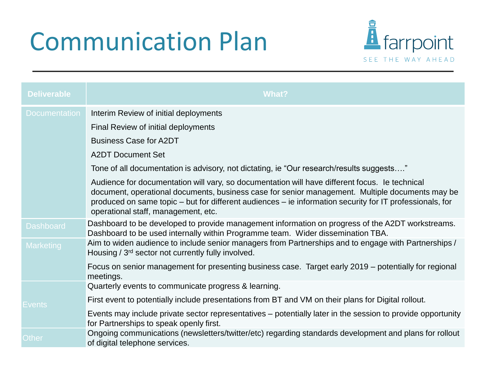## Communication Plan



| <b>Deliverable</b>   | <b>What?</b>                                                                                                                                                                                                                                                                                                                                         |
|----------------------|------------------------------------------------------------------------------------------------------------------------------------------------------------------------------------------------------------------------------------------------------------------------------------------------------------------------------------------------------|
| <b>Documentation</b> | Interim Review of initial deployments                                                                                                                                                                                                                                                                                                                |
|                      | Final Review of initial deployments                                                                                                                                                                                                                                                                                                                  |
|                      | <b>Business Case for A2DT</b>                                                                                                                                                                                                                                                                                                                        |
|                      | <b>A2DT Document Set</b>                                                                                                                                                                                                                                                                                                                             |
|                      | Tone of all documentation is advisory, not dictating, ie "Our research/results suggests"                                                                                                                                                                                                                                                             |
|                      | Audience for documentation will vary, so documentation will have different focus. Ie technical<br>document, operational documents, business case for senior management. Multiple documents may be<br>produced on same topic – but for different audiences – ie information security for IT professionals, for<br>operational staff, management, etc. |
| <b>Dashboard</b>     | Dashboard to be developed to provide management information on progress of the A2DT workstreams.<br>Dashboard to be used internally within Programme team. Wider dissemination TBA.                                                                                                                                                                  |
| <b>Marketing</b>     | Aim to widen audience to include senior managers from Partnerships and to engage with Partnerships /<br>Housing / 3 <sup>rd</sup> sector not currently fully involved.                                                                                                                                                                               |
|                      | Focus on senior management for presenting business case. Target early 2019 – potentially for regional<br>meetings.                                                                                                                                                                                                                                   |
|                      | Quarterly events to communicate progress & learning.                                                                                                                                                                                                                                                                                                 |
| <b>Events</b>        | First event to potentially include presentations from BT and VM on their plans for Digital rollout.                                                                                                                                                                                                                                                  |
|                      | Events may include private sector representatives – potentially later in the session to provide opportunity<br>for Partnerships to speak openly first.                                                                                                                                                                                               |
| <b>Other</b>         | Ongoing communications (newsletters/twitter/etc) regarding standards development and plans for rollout<br>of digital telephone services.                                                                                                                                                                                                             |